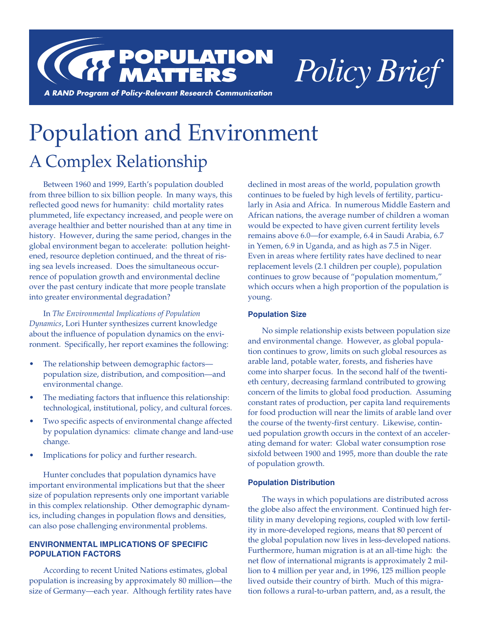

# Population and Environment A Complex Relationship

Between 1960 and 1999, Earth's population doubled from three billion to six billion people. In many ways, this reflected good news for humanity: child mortality rates plummeted, life expectancy increased, and people were on average healthier and better nourished than at any time in history. However, during the same period, changes in the global environment began to accelerate: pollution heightened, resource depletion continued, and the threat of rising sea levels increased. Does the simultaneous occurrence of population growth and environmental decline over the past century indicate that more people translate into greater environmental degradation?

In *The Environmental Implications of Population Dynamics*, Lori Hunter synthesizes current knowledge about the influence of population dynamics on the environment. Specifically, her report examines the following:

- The relationship between demographic factorspopulation size, distribution, and composition—and environmental change.
- The mediating factors that influence this relationship: technological, institutional, policy, and cultural forces.
- Two specific aspects of environmental change affected by population dynamics: climate change and land-use change.
- Implications for policy and further research.

Hunter concludes that population dynamics have important environmental implications but that the sheer size of population represents only one important variable in this complex relationship. Other demographic dynamics, including changes in population flows and densities, can also pose challenging environmental problems.

# **ENVIRONMENTAL IMPLICATIONS OF SPECIFIC POPULATION FACTORS**

According to recent United Nations estimates, global population is increasing by approximately 80 million—the size of Germany—each year. Although fertility rates have

declined in most areas of the world, population growth continues to be fueled by high levels of fertility, particularly in Asia and Africa. In numerous Middle Eastern and African nations, the average number of children a woman would be expected to have given current fertility levels remains above 6.0—for example, 6.4 in Saudi Arabia, 6.7 in Yemen, 6.9 in Uganda, and as high as 7.5 in Niger. Even in areas where fertility rates have declined to near replacement levels (2.1 children per couple), population continues to grow because of "population momentum," which occurs when a high proportion of the population is young.

# **Population Size**

No simple relationship exists between population size and environmental change. However, as global population continues to grow, limits on such global resources as arable land, potable water, forests, and fisheries have come into sharper focus. In the second half of the twentieth century, decreasing farmland contributed to growing concern of the limits to global food production. Assuming constant rates of production, per capita land requirements for food production will near the limits of arable land over the course of the twenty-first century. Likewise, continued population growth occurs in the context of an accelerating demand for water: Global water consumption rose sixfold between 1900 and 1995, more than double the rate of population growth.

# **Population Distribution**

The ways in which populations are distributed across the globe also affect the environment. Continued high fertility in many developing regions, coupled with low fertility in more-developed regions, means that 80 percent of the global population now lives in less-developed nations. Furthermore, human migration is at an all-time high: the net flow of international migrants is approximately 2 million to 4 million per year and, in 1996, 125 million people lived outside their country of birth. Much of this migration follows a rural-to-urban pattern, and, as a result, the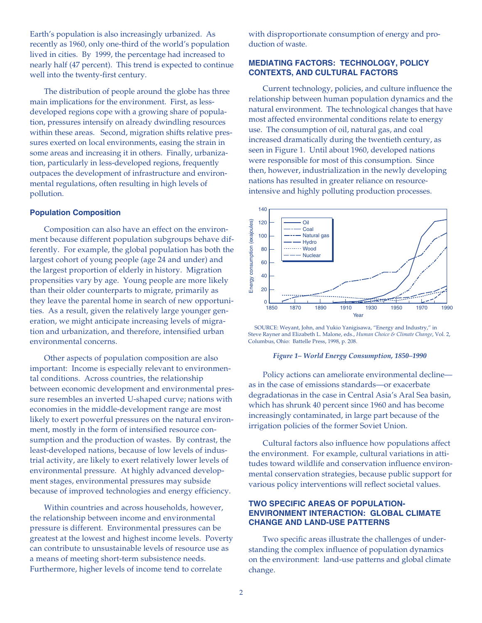Earth's population is also increasingly urbanized. As recently as 1960, only one-third of the world's population lived in cities. By 1999, the percentage had increased to nearly half (47 percent). This trend is expected to continue well into the twenty-first century.

The distribution of people around the globe has three main implications for the environment. First, as lessdeveloped regions cope with a growing share of population, pressures intensify on already dwindling resources within these areas. Second, migration shifts relative pressures exerted on local environments, easing the strain in some areas and increasing it in others. Finally, urbanization, particularly in less-developed regions, frequently outpaces the development of infrastructure and environmental regulations, often resulting in high levels of pollution.

# **Population Composition**

Composition can also have an effect on the environment because different population subgroups behave differently. For example, the global population has both the largest cohort of young people (age 24 and under) and the largest proportion of elderly in history. Migration propensities vary by age. Young people are more likely than their older counterparts to migrate, primarily as they leave the parental home in search of new opportunities. As a result, given the relatively large younger generation, we might anticipate increasing levels of migration and urbanization, and therefore, intensified urban environmental concerns.

Other aspects of population composition are also important: Income is especially relevant to environmental conditions. Across countries, the relationship between economic development and environmental pressure resembles an inverted U-shaped curve; nations with economies in the middle-development range are most likely to exert powerful pressures on the natural environment, mostly in the form of intensified resource consumption and the production of wastes. By contrast, the least-developed nations, because of low levels of industrial activity, are likely to exert relatively lower levels of environmental pressure. At highly advanced development stages, environmental pressures may subside because of improved technologies and energy efficiency.

Within countries and across households, however, the relationship between income and environmental pressure is different. Environmental pressures can be greatest at the lowest and highest income levels. Poverty can contribute to unsustainable levels of resource use as a means of meeting short-term subsistence needs. Furthermore, higher levels of income tend to correlate

with disproportionate consumption of energy and production of waste.

## **MEDIATING FACTORS: TECHNOLOGY, POLICY CONTEXTS, AND CULTURAL FACTORS**

Current technology, policies, and culture influence the relationship between human population dynamics and the natural environment. The technological changes that have most affected environmental conditions relate to energy use. The consumption of oil, natural gas, and coal increased dramatically during the twentieth century, as seen in Figure 1. Until about 1960, developed nations were responsible for most of this consumption. Since then, however, industrialization in the newly developing nations has resulted in greater reliance on resourceintensive and highly polluting production processes.



SOURCE: Weyant, John, and Yukio Yanigisawa, "Energy and Industry," in Steve Rayner and Elizabeth L. Malone, eds., *Human Choice & Climate Change*, Vol. 2, Columbus, Ohio: Battelle Press, 1998, p. 208.

#### *Figure 1– World Energy Consumption, 1850–1990*

Policy actions can ameliorate environmental decline as in the case of emissions standards—or exacerbate degradationas in the case in Central Asia's Aral Sea basin, which has shrunk 40 percent since 1960 and has become increasingly contaminated, in large part because of the irrigation policies of the former Soviet Union.

Cultural factors also influence how populations affect the environment. For example, cultural variations in attitudes toward wildlife and conservation influence environmental conservation strategies, because public support for various policy interventions will reflect societal values.

# **TWO SPECIFIC AREAS OF POPULATION-ENVIRONMENT INTERACTION: GLOBAL CLIMATE CHANGE AND LAND-USE PATTERNS**

Two specific areas illustrate the challenges of understanding the complex influence of population dynamics on the environment: land-use patterns and global climate change.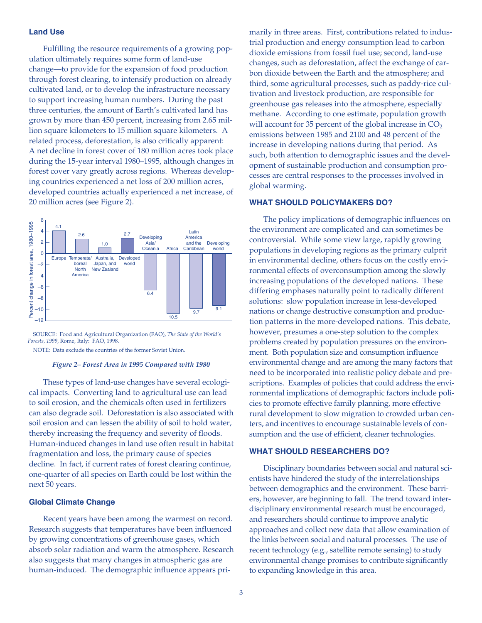## **Land Use**

Fulfilling the resource requirements of a growing population ultimately requires some form of land-use change—to provide for the expansion of food production through forest clearing, to intensify production on already cultivated land, or to develop the infrastructure necessary to support increasing human numbers. During the past three centuries, the amount of Earth's cultivated land has grown by more than 450 percent, increasing from 2.65 million square kilometers to 15 million square kilometers. A related process, deforestation, is also critically apparent: A net decline in forest cover of 180 million acres took place during the 15-year interval 1980–1995, although changes in forest cover vary greatly across regions. Whereas developing countries experienced a net loss of 200 million acres, developed countries actually experienced a net increase, of 20 million acres (see Figure 2).



SOURCE: Food and Agricultural Organization (FAO), *The State of the World's Forests, 1999*, Rome, Italy: FAO, 1998.

NOTE: Data exclude the countries of the former Soviet Union.

#### *Figure 2– Forest Area in 1995 Compared with 1980*

These types of land-use changes have several ecological impacts. Converting land to agricultural use can lead to soil erosion, and the chemicals often used in fertilizers can also degrade soil. Deforestation is also associated with soil erosion and can lessen the ability of soil to hold water, thereby increasing the frequency and severity of floods. Human-induced changes in land use often result in habitat fragmentation and loss, the primary cause of species decline. In fact, if current rates of forest clearing continue, one-quarter of all species on Earth could be lost within the next 50 years.

### **Global Climate Change**

Recent years have been among the warmest on record. Research suggests that temperatures have been influenced by growing concentrations of greenhouse gases, which absorb solar radiation and warm the atmosphere. Research also suggests that many changes in atmospheric gas are human-induced. The demographic influence appears primarily in three areas. First, contributions related to industrial production and energy consumption lead to carbon dioxide emissions from fossil fuel use; second, land-use changes, such as deforestation, affect the exchange of carbon dioxide between the Earth and the atmosphere; and third, some agricultural processes, such as paddy-rice cultivation and livestock production, are responsible for greenhouse gas releases into the atmosphere, especially methane. According to one estimate, population growth will account for 35 percent of the global increase in  $CO<sub>2</sub>$ emissions between 1985 and 2100 and 48 percent of the increase in developing nations during that period. As such, both attention to demographic issues and the development of sustainable production and consumption processes are central responses to the processes involved in global warming.

### **WHAT SHOULD POLICYMAKERS DO?**

The policy implications of demographic influences on the environment are complicated and can sometimes be controversial. While some view large, rapidly growing populations in developing regions as the primary culprit in environmental decline, others focus on the costly environmental effects of overconsumption among the slowly increasing populations of the developed nations. These differing emphases naturally point to radically different solutions: slow population increase in less-developed nations or change destructive consumption and production patterns in the more-developed nations. This debate, however, presumes a one-step solution to the complex problems created by population pressures on the environment. Both population size and consumption influence environmental change and are among the many factors that need to be incorporated into realistic policy debate and prescriptions. Examples of policies that could address the environmental implications of demographic factors include policies to promote effective family planning, more effective rural development to slow migration to crowded urban centers, and incentives to encourage sustainable levels of consumption and the use of efficient, cleaner technologies.

## **WHAT SHOULD RESEARCHERS DO?**

Disciplinary boundaries between social and natural scientists have hindered the study of the interrelationships between demographics and the environment. These barriers, however, are beginning to fall. The trend toward interdisciplinary environmental research must be encouraged, and researchers should continue to improve analytic approaches and collect new data that allow examination of the links between social and natural processes. The use of recent technology (e.g., satellite remote sensing) to study environmental change promises to contribute significantly to expanding knowledge in this area.